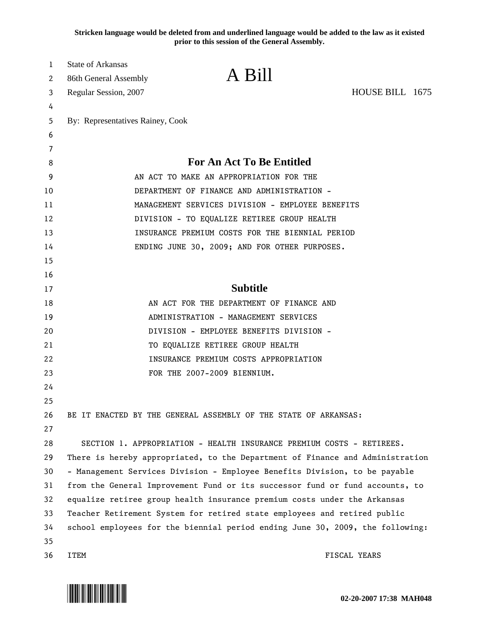**Stricken language would be deleted from and underlined language would be added to the law as it existed prior to this session of the General Assembly.**

| 1  | <b>State of Arkansas</b>                         |                                                                               |                 |  |  |  |  |
|----|--------------------------------------------------|-------------------------------------------------------------------------------|-----------------|--|--|--|--|
| 2  | 86th General Assembly                            | A Bill                                                                        |                 |  |  |  |  |
| 3  | Regular Session, 2007                            |                                                                               | HOUSE BILL 1675 |  |  |  |  |
| 4  |                                                  |                                                                               |                 |  |  |  |  |
| 5  | By: Representatives Rainey, Cook                 |                                                                               |                 |  |  |  |  |
| 6  |                                                  |                                                                               |                 |  |  |  |  |
| 7  |                                                  |                                                                               |                 |  |  |  |  |
| 8  |                                                  | <b>For An Act To Be Entitled</b>                                              |                 |  |  |  |  |
| 9  |                                                  | AN ACT TO MAKE AN APPROPRIATION FOR THE                                       |                 |  |  |  |  |
| 10 | DEPARTMENT OF FINANCE AND ADMINISTRATION -       |                                                                               |                 |  |  |  |  |
| 11 | MANAGEMENT SERVICES DIVISION - EMPLOYEE BENEFITS |                                                                               |                 |  |  |  |  |
| 12 | DIVISION - TO EQUALIZE RETIREE GROUP HEALTH      |                                                                               |                 |  |  |  |  |
| 13 | INSURANCE PREMIUM COSTS FOR THE BIENNIAL PERIOD  |                                                                               |                 |  |  |  |  |
| 14 |                                                  | ENDING JUNE 30, 2009; AND FOR OTHER PURPOSES.                                 |                 |  |  |  |  |
| 15 |                                                  |                                                                               |                 |  |  |  |  |
| 16 |                                                  |                                                                               |                 |  |  |  |  |
| 17 |                                                  | <b>Subtitle</b>                                                               |                 |  |  |  |  |
| 18 |                                                  | AN ACT FOR THE DEPARTMENT OF FINANCE AND                                      |                 |  |  |  |  |
| 19 |                                                  | ADMINISTRATION - MANAGEMENT SERVICES                                          |                 |  |  |  |  |
| 20 |                                                  | DIVISION - EMPLOYEE BENEFITS DIVISION -                                       |                 |  |  |  |  |
| 21 |                                                  | TO EQUALIZE RETIREE GROUP HEALTH                                              |                 |  |  |  |  |
| 22 |                                                  | INSURANCE PREMIUM COSTS APPROPRIATION                                         |                 |  |  |  |  |
| 23 |                                                  | FOR THE 2007-2009 BIENNIUM.                                                   |                 |  |  |  |  |
| 24 |                                                  |                                                                               |                 |  |  |  |  |
| 25 |                                                  |                                                                               |                 |  |  |  |  |
| 26 |                                                  | BE IT ENACTED BY THE GENERAL ASSEMBLY OF THE STATE OF ARKANSAS:               |                 |  |  |  |  |
| 27 |                                                  |                                                                               |                 |  |  |  |  |
| 28 |                                                  | SECTION 1. APPROPRIATION - HEALTH INSURANCE PREMIUM COSTS - RETIREES.         |                 |  |  |  |  |
| 29 |                                                  | There is hereby appropriated, to the Department of Finance and Administration |                 |  |  |  |  |
| 30 |                                                  | - Management Services Division - Employee Benefits Division, to be payable    |                 |  |  |  |  |
| 31 |                                                  | from the General Improvement Fund or its successor fund or fund accounts, to  |                 |  |  |  |  |
| 32 |                                                  | equalize retiree group health insurance premium costs under the Arkansas      |                 |  |  |  |  |
| 33 |                                                  | Teacher Retirement System for retired state employees and retired public      |                 |  |  |  |  |
| 34 |                                                  | school employees for the biennial period ending June 30, 2009, the following: |                 |  |  |  |  |
| 35 |                                                  |                                                                               |                 |  |  |  |  |
| 36 | <b>ITEM</b>                                      |                                                                               | FISCAL YEARS    |  |  |  |  |